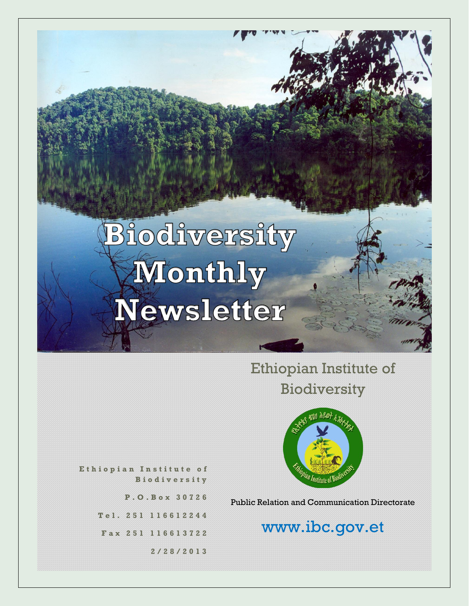# Biodiversity Wonthly Newsletter

Ethiopian Institute of Biodiversity



**E t h i o p i a n I n s t i t u t e o f B i o d i v e r s i t y**

**P . O . B o x 3 0 7 2 6**

**T e l . 2 5 1 1 1 6 6 1 2 2 4 4**

**F a x 2 5 1 116613722**

**2 / 2 8 / 2 0 1 3**

Public Relation and Communication Directorate

# www.ibc.gov.et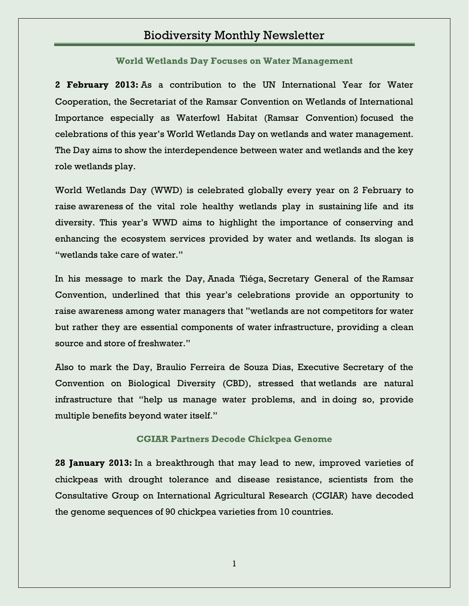## Biodiversity Monthly Newsletter

**[World Wetlands Day Focuses on Water Management](http://www.ibc.gov.et/2713)**

**2 February 2013:** As a contribution to the UN International Year for Water Cooperation, the Secretariat of the Ramsar Convention on Wetlands of International Importance especially as Waterfowl Habitat (Ramsar Convention) focused the celebrations of this year's World Wetlands Day on wetlands and water management. The Day aims to show the interdependence between water and wetlands and the key role wetlands play.

World Wetlands Day (WWD) is celebrated globally every year on 2 February to raise awareness of the vital role healthy wetlands play in sustaining life and its diversity. This year's WWD aims to highlight the importance of conserving and enhancing the ecosystem services provided by water and wetlands. Its slogan is "wetlands take care of water."

In his message to mark the Day, Anada Tiéga, Secretary General of the Ramsar Convention, underlined that this year's celebrations provide an opportunity to raise awareness among water managers that "wetlands are not competitors for water but rather they are essential components of water infrastructure, providing a clean source and store of freshwater."

Also to mark the Day, Braulio Ferreira de Souza Dias, Executive Secretary of the Convention on Biological Diversity (CBD), stressed that wetlands are natural infrastructure that "help us manage water problems, and in doing so, provide multiple benefits beyond water itself."

#### **[CGIAR Partners Decode Chickpea Genome](http://www.ibc.gov.et/2710)**

**28 January 2013:** In a breakthrough that may lead to new, improved varieties of chickpeas with drought tolerance and disease resistance, scientists from the Consultative Group on International Agricultural Research (CGIAR) have decoded the genome sequences of 90 chickpea varieties from 10 countries.

1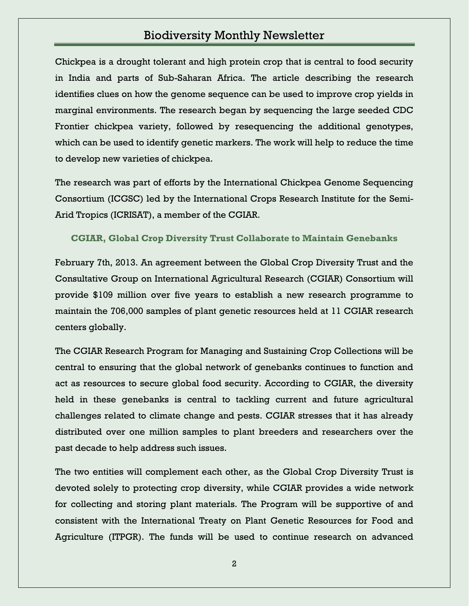## Biodiversity Monthly Newsletter

Chickpea is a drought tolerant and high protein crop that is central to food security in India and parts of Sub-Saharan Africa. The article describing the research identifies clues on how the genome sequence can be used to improve crop yields in marginal environments. The research began by sequencing the large seeded CDC Frontier chickpea variety, followed by resequencing the additional genotypes, which can be used to identify genetic markers. The work will help to reduce the time to develop new varieties of chickpea.

The research was part of efforts by the International Chickpea Genome Sequencing Consortium (ICGSC) led by the International Crops Research Institute for the Semi-Arid Tropics (ICRISAT), a member of the CGIAR.

**[CGIAR, Global Crop Diversity Trust Collaborate to Maintain Genebanks](http://www.ibc.gov.et/2715)**

February 7th, 2013. An agreement between the Global Crop Diversity Trust and the Consultative Group on International Agricultural Research (CGIAR) Consortium will provide \$109 million over five years to establish a new research programme to maintain the 706,000 samples of plant genetic resources held at 11 CGIAR research centers globally.

The CGIAR Research Program for Managing and Sustaining Crop Collections will be central to ensuring that the global network of genebanks continues to function and act as resources to secure global food security. According to CGIAR, the diversity held in these genebanks is central to tackling current and future agricultural challenges related to climate change and pests. CGIAR stresses that it has already distributed over one million samples to plant breeders and researchers over the past decade to help address such issues.

The two entities will complement each other, as the Global Crop Diversity Trust is devoted solely to protecting crop diversity, while CGIAR provides a wide network for collecting and storing plant materials. The Program will be supportive of and consistent with the International Treaty on Plant Genetic Resources for Food and Agriculture (ITPGR). The funds will be used to continue research on advanced